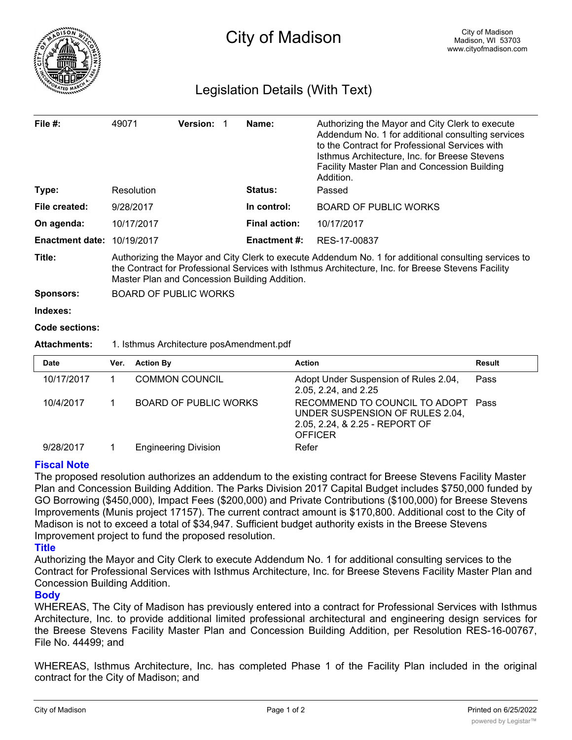

# Legislation Details (With Text)

| File $#$ :             | 49071                                                                                                                                                                                                                                                       |                  | Version: 1                   |  | Name:                | Authorizing the Mayor and City Clerk to execute<br>Addendum No. 1 for additional consulting services<br>to the Contract for Professional Services with<br>Isthmus Architecture, Inc. for Breese Stevens<br><b>Facility Master Plan and Concession Building</b><br>Addition. |               |
|------------------------|-------------------------------------------------------------------------------------------------------------------------------------------------------------------------------------------------------------------------------------------------------------|------------------|------------------------------|--|----------------------|-----------------------------------------------------------------------------------------------------------------------------------------------------------------------------------------------------------------------------------------------------------------------------|---------------|
| Type:                  |                                                                                                                                                                                                                                                             | Resolution       |                              |  | Status:              | Passed                                                                                                                                                                                                                                                                      |               |
| File created:          |                                                                                                                                                                                                                                                             | 9/28/2017        |                              |  | In control:          | <b>BOARD OF PUBLIC WORKS</b>                                                                                                                                                                                                                                                |               |
| On agenda:             |                                                                                                                                                                                                                                                             | 10/17/2017       |                              |  | <b>Final action:</b> | 10/17/2017                                                                                                                                                                                                                                                                  |               |
| <b>Enactment date:</b> |                                                                                                                                                                                                                                                             | 10/19/2017       |                              |  | <b>Enactment #:</b>  | RES-17-00837                                                                                                                                                                                                                                                                |               |
| Title:                 | Authorizing the Mayor and City Clerk to execute Addendum No. 1 for additional consulting services to<br>the Contract for Professional Services with Isthmus Architecture, Inc. for Breese Stevens Facility<br>Master Plan and Concession Building Addition. |                  |                              |  |                      |                                                                                                                                                                                                                                                                             |               |
| <b>Sponsors:</b>       | <b>BOARD OF PUBLIC WORKS</b>                                                                                                                                                                                                                                |                  |                              |  |                      |                                                                                                                                                                                                                                                                             |               |
| Indexes:               |                                                                                                                                                                                                                                                             |                  |                              |  |                      |                                                                                                                                                                                                                                                                             |               |
| <b>Code sections:</b>  |                                                                                                                                                                                                                                                             |                  |                              |  |                      |                                                                                                                                                                                                                                                                             |               |
| <b>Attachments:</b>    | 1. Isthmus Architecture posAmendment.pdf                                                                                                                                                                                                                    |                  |                              |  |                      |                                                                                                                                                                                                                                                                             |               |
| Date                   | Ver.                                                                                                                                                                                                                                                        | <b>Action By</b> |                              |  |                      | <b>Action</b>                                                                                                                                                                                                                                                               | <b>Result</b> |
| 10/17/2017             | 1                                                                                                                                                                                                                                                           |                  | <b>COMMON COUNCIL</b>        |  |                      | Adopt Under Suspension of Rules 2.04,<br>2.05, 2.24, and 2.25                                                                                                                                                                                                               | Pass          |
| 10/4/2017              | 1                                                                                                                                                                                                                                                           |                  | <b>BOARD OF PUBLIC WORKS</b> |  |                      | RECOMMEND TO COUNCIL TO ADOPT<br>UNDER SUSPENSION OF RULES 2.04,<br>2.05, 2.24, & 2.25 - REPORT OF                                                                                                                                                                          | Pass          |

## **Fiscal Note**

The proposed resolution authorizes an addendum to the existing contract for Breese Stevens Facility Master Plan and Concession Building Addition. The Parks Division 2017 Capital Budget includes \$750,000 funded by GO Borrowing (\$450,000), Impact Fees (\$200,000) and Private Contributions (\$100,000) for Breese Stevens Improvements (Munis project 17157). The current contract amount is \$170,800. Additional cost to the City of Madison is not to exceed a total of \$34,947. Sufficient budget authority exists in the Breese Stevens Improvement project to fund the proposed resolution.

9/28/2017 1 Engineering Division Refer

**OFFICER** 

## **Title**

Authorizing the Mayor and City Clerk to execute Addendum No. 1 for additional consulting services to the Contract for Professional Services with Isthmus Architecture, Inc. for Breese Stevens Facility Master Plan and Concession Building Addition.

#### **Body**

WHEREAS, The City of Madison has previously entered into a contract for Professional Services with Isthmus Architecture, Inc. to provide additional limited professional architectural and engineering design services for the Breese Stevens Facility Master Plan and Concession Building Addition, per Resolution RES-16-00767, File No. 44499; and

WHEREAS, Isthmus Architecture, Inc. has completed Phase 1 of the Facility Plan included in the original contract for the City of Madison; and